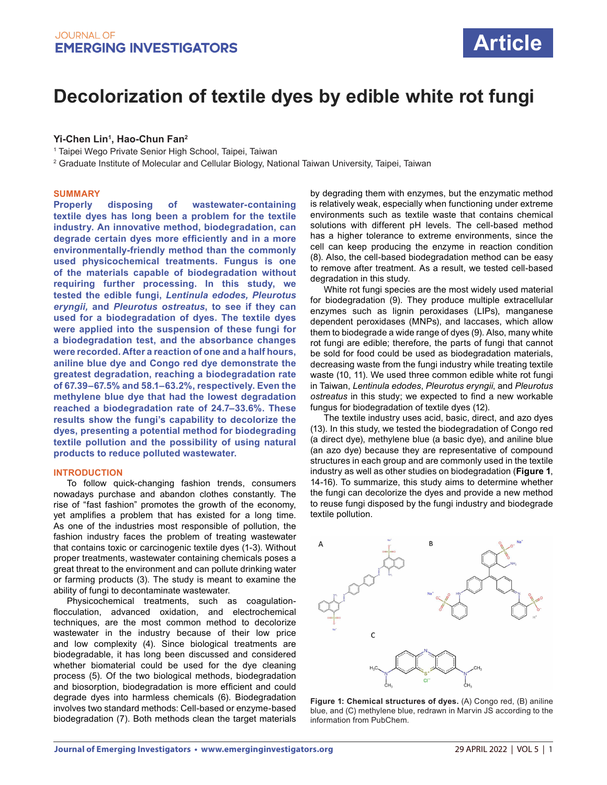# **Decolorization of textile dyes by edible white rot fungi**

## **Yi-Chen Lin1 , Hao-Chun Fan2**

1 Taipei Wego Private Senior High School, Taipei, Taiwan

 $^{\rm 2}$  Graduate Institute of Molecular and Cellular Biology, National Taiwan University, Taipei, Taiwan

### **SUMMARY**

**Properly disposing of wastewater-containing textile dyes has long been a problem for the textile industry. An innovative method, biodegradation, can degrade certain dyes more efficiently and in a more environmentally-friendly method than the commonly used physicochemical treatments. Fungus is one of the materials capable of biodegradation without requiring further processing. In this study, we tested the edible fungi,** *Lentinula edodes, Pleurotus eryngii,* **and** *Pleurotus ostreatus***, to see if they can used for a biodegradation of dyes. The textile dyes were applied into the suspension of these fungi for a biodegradation test, and the absorbance changes were recorded. After a reaction of one and a half hours, aniline blue dye and Congo red dye demonstrate the greatest degradation, reaching a biodegradation rate of 67.39–67.5% and 58.1–63.2%, respectively. Even the methylene blue dye that had the lowest degradation reached a biodegradation rate of 24.7–33.6%. These results show the fungi's capability to decolorize the dyes, presenting a potential method for biodegrading textile pollution and the possibility of using natural products to reduce polluted wastewater.** 

#### **INTRODUCTION**

To follow quick-changing fashion trends, consumers nowadays purchase and abandon clothes constantly. The rise of "fast fashion" promotes the growth of the economy, yet amplifies a problem that has existed for a long time. As one of the industries most responsible of pollution, the fashion industry faces the problem of treating wastewater that contains toxic or carcinogenic textile dyes (1-3). Without proper treatments, wastewater containing chemicals poses a great threat to the environment and can pollute drinking water or farming products (3). The study is meant to examine the ability of fungi to decontaminate wastewater.

Physicochemical treatments, such as coagulationflocculation, advanced oxidation, and electrochemical techniques, are the most common method to decolorize wastewater in the industry because of their low price and low complexity (4). Since biological treatments are biodegradable, it has long been discussed and considered whether biomaterial could be used for the dye cleaning process (5). Of the two biological methods, biodegradation and biosorption, biodegradation is more efficient and could degrade dyes into harmless chemicals (6). Biodegradation involves two standard methods: Cell-based or enzyme-based biodegradation (7). Both methods clean the target materials by degrading them with enzymes, but the enzymatic method is relatively weak, especially when functioning under extreme environments such as textile waste that contains chemical solutions with different pH levels. The cell-based method has a higher tolerance to extreme environments, since the cell can keep producing the enzyme in reaction condition (8). Also, the cell-based biodegradation method can be easy to remove after treatment. As a result, we tested cell-based degradation in this study.

White rot fungi species are the most widely used material for biodegradation (9). They produce multiple extracellular enzymes such as lignin peroxidases (LIPs), manganese dependent peroxidases (MNPs), and laccases, which allow them to biodegrade a wide range of dyes (9). Also, many white rot fungi are edible; therefore, the parts of fungi that cannot be sold for food could be used as biodegradation materials, decreasing waste from the fungi industry while treating textile waste (10, 11). We used three common edible white rot fungi in Taiwan, *Lentinula edodes*, *Pleurotus eryngii*, and *Pleurotus ostreatus* in this study; we expected to find a new workable fungus for biodegradation of textile dyes (12).

The textile industry uses acid, basic, direct, and azo dyes (13). In this study, we tested the biodegradation of Congo red (a direct dye), methylene blue (a basic dye), and aniline blue (an azo dye) because they are representative of compound structures in each group and are commonly used in the textile industry as well as other studies on biodegradation (**Figure 1**, 14-16). To summarize, this study aims to determine whether the fungi can decolorize the dyes and provide a new method to reuse fungi disposed by the fungi industry and biodegrade textile pollution.



**Figure 1: Chemical structures of dyes.** (A) Congo red, (B) aniline blue, and (C) methylene blue, redrawn in Marvin JS according to the information from PubChem.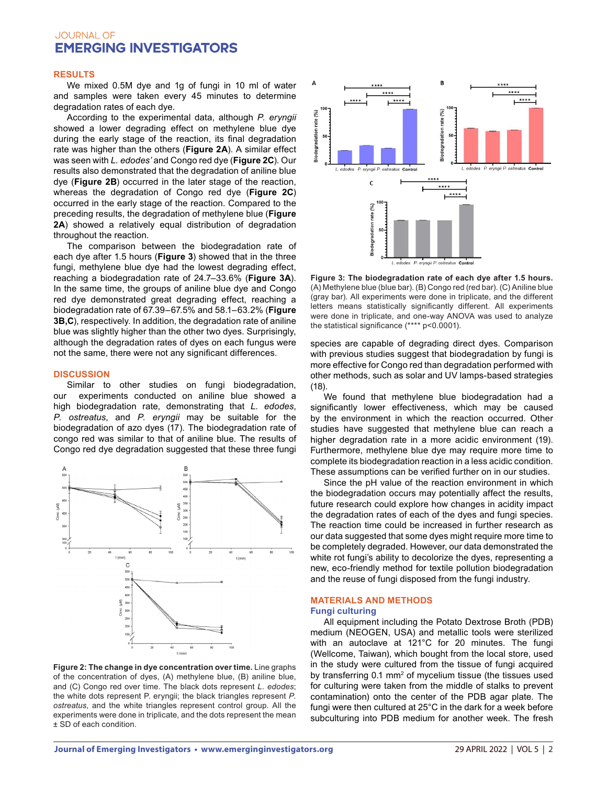# **JOURNAL OF EMERGING INVESTIGATORS**

#### **RESULTS**

We mixed 0.5M dye and 1g of fungi in 10 ml of water and samples were taken every 45 minutes to determine degradation rates of each dye.

According to the experimental data, although *P. eryngii* showed a lower degrading effect on methylene blue dye during the early stage of the reaction, its final degradation rate was higher than the others (**Figure 2A**). A similar effect was seen with *L. edodes'* and Congo red dye (**Figure 2C**). Our results also demonstrated that the degradation of aniline blue dye (**Figure 2B**) occurred in the later stage of the reaction, whereas the degradation of Congo red dye (**Figure 2C**) occurred in the early stage of the reaction. Compared to the preceding results, the degradation of methylene blue (**Figure 2A**) showed a relatively equal distribution of degradation throughout the reaction.

The comparison between the biodegradation rate of each dye after 1.5 hours (**Figure 3**) showed that in the three fungi, methylene blue dye had the lowest degrading effect, reaching a biodegradation rate of 24.7–33.6% (**Figure 3A**). In the same time, the groups of aniline blue dye and Congo red dye demonstrated great degrading effect, reaching a biodegradation rate of 67.39–67.5% and 58.1–63.2% (**Figure 3B,C**), respectively. In addition, the degradation rate of aniline blue was slightly higher than the other two dyes. Surprisingly, although the degradation rates of dyes on each fungus were not the same, there were not any significant differences.

#### **DISCUSSION**

Similar to other studies on fungi biodegradation, our experiments conducted on aniline blue showed a high biodegradation rate, demonstrating that *L. edodes*, *P. ostreatus*, and *P. eryngii* may be suitable for the biodegradation of azo dyes (17). The biodegradation rate of congo red was similar to that of aniline blue. The results of Congo red dye degradation suggested that these three fungi



**Figure 2: The change in dye concentration over time.** Line graphs of the concentration of dyes, (A) methylene blue, (B) aniline blue, and (C) Congo red over time. The black dots represent *L. edodes*; the white dots represent P. eryngii; the black triangles represent *P. ostreatus*, and the white triangles represent control group. All the experiments were done in triplicate, and the dots represent the mean ± SD of each condition.



**Figure 3: The biodegradation rate of each dye after 1.5 hours.**  (A) Methylene blue (blue bar). (B) Congo red (red bar). (C) Aniline blue (gray bar). All experiments were done in triplicate, and the different letters means statistically significantly different. All experiments were done in triplicate, and one-way ANOVA was used to analyze the statistical significance (\*\*\*\* p<0.0001).

species are capable of degrading direct dyes. Comparison with previous studies suggest that biodegradation by fungi is more effective for Congo red than degradation performed with other methods, such as solar and UV lamps-based strategies (18).

We found that methylene blue biodegradation had a significantly lower effectiveness, which may be caused by the environment in which the reaction occurred. Other studies have suggested that methylene blue can reach a higher degradation rate in a more acidic environment (19). Furthermore, methylene blue dye may require more time to complete its biodegradation reaction in a less acidic condition. These assumptions can be verified further on in our studies.

Since the pH value of the reaction environment in which the biodegradation occurs may potentially affect the results, future research could explore how changes in acidity impact the degradation rates of each of the dyes and fungi species. The reaction time could be increased in further research as our data suggested that some dyes might require more time to be completely degraded. However, our data demonstrated the white rot fungi's ability to decolorize the dyes, representing a new, eco-friendly method for textile pollution biodegradation and the reuse of fungi disposed from the fungi industry.

### **MATERIALS AND METHODS Fungi culturing**

All equipment including the Potato Dextrose Broth (PDB) medium (NEOGEN, USA) and metallic tools were sterilized with an autoclave at 121°C for 20 minutes. The fungi (Wellcome, Taiwan), which bought from the local store, used in the study were cultured from the tissue of fungi acquired by transferring 0.1 mm<sup>2</sup> of mycelium tissue (the tissues used for culturing were taken from the middle of stalks to prevent contamination) onto the center of the PDB agar plate. The fungi were then cultured at 25°C in the dark for a week before subculturing into PDB medium for another week. The fresh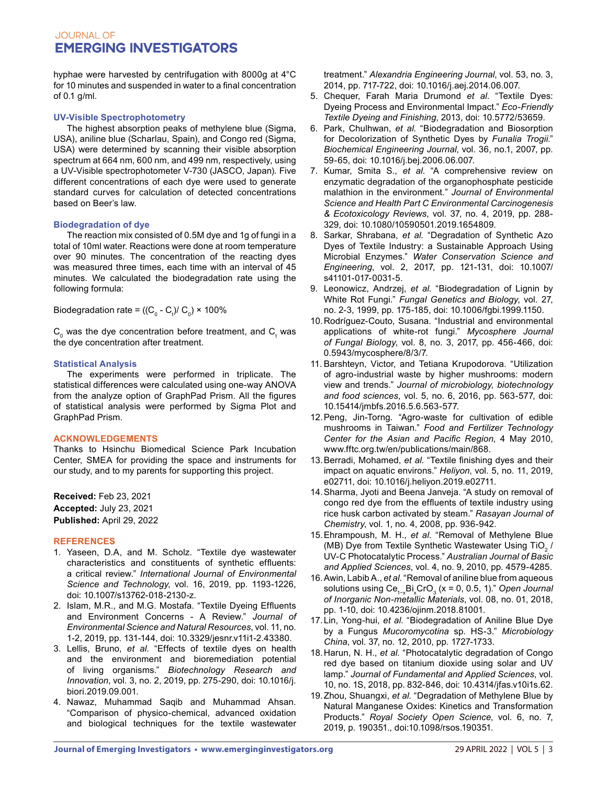# **JOURNAL OF EMERGING INVESTIGATORS**

hyphae were harvested by centrifugation with 8000g at 4°C for 10 minutes and suspended in water to a final concentration of 0.1 g/ml.

## **UV-Visible Spectrophotometry**

The highest absorption peaks of methylene blue (Sigma, USA), aniline blue (Scharlau, Spain), and Congo red (Sigma, USA) were determined by scanning their visible absorption spectrum at 664 nm, 600 nm, and 499 nm, respectively, using a UV-Visible spectrophotometer V-730 (JASCO, Japan). Five different concentrations of each dye were used to generate standard curves for calculation of detected concentrations based on Beer's law.

## **Biodegradation of dye**

The reaction mix consisted of 0.5M dye and 1g of fungi in a total of 10ml water. Reactions were done at room temperature over 90 minutes. The concentration of the reacting dyes was measured three times, each time with an interval of 45 minutes. We calculated the biodegradation rate using the following formula:

Biodegradation rate = ((C $_{\rm o}$  - C $_{\rm t}$ )/ C $_{\rm o}$ ) × 100%

 $\mathsf{C}_{_{0}}$  was the dye concentration before treatment, and  $\mathsf{C}_{_{t}}$  was the dye concentration after treatment.

## **Statistical Analysis**

The experiments were performed in triplicate. The statistical differences were calculated using one-way ANOVA from the analyze option of GraphPad Prism. All the figures of statistical analysis were performed by Sigma Plot and GraphPad Prism.

# **ACKNOWLEDGEMENTS**

Thanks to Hsinchu Biomedical Science Park Incubation Center, SMEA for providing the space and instruments for our study, and to my parents for supporting this project.

**Received:** Feb 23, 2021 **Accepted:** July 23, 2021 **Published:** April 29, 2022

# **REFERENCES**

- 1. Yaseen, D.A, and M. Scholz. "Textile dye wastewater characteristics and constituents of synthetic effluents: a critical review." *International Journal of Environmental Science and Technology*, vol. 16, 2019, pp. 1193-1226, doi: 10.1007/s13762-018-2130-z.
- 2. Islam, M.R., and M.G. Mostafa. "Textile Dyeing Effluents and Environment Concerns - A Review." *Journal of Environmental Science and Natural Resources*, vol. 11, no. 1-2, 2019, pp. 131-144, doi: 10.3329/jesnr.v11i1-2.43380.
- 3. Lellis, Bruno, *et al*. "Effects of textile dyes on health and the environment and bioremediation potential of living organisms." *Biotechnology Research and Innovation*, vol. 3, no. 2, 2019, pp. 275-290, doi: 10.1016/j. biori.2019.09.001.
- 4. Nawaz, Muhammad Saqib and Muhammad Ahsan. "Comparison of physico-chemical, advanced oxidation and biological techniques for the textile wastewater

treatment." *Alexandria Engineering Journal*, vol. 53, no. 3, 2014, pp. 717-722, doi: 10.1016/j.aej.2014.06.007.

- 5. Chequer, Farah Maria Drumond *et al*. "Textile Dyes: Dyeing Process and Environmental Impact." *Eco-Friendly Textile Dyeing and Finishing*, 2013, doi: 10.5772/53659.
- 6. Park, Chulhwan, *et al*. "Biodegradation and Biosorption for Decolorization of Synthetic Dyes by *Funalia Trogii*." *Biochemical Engineering Journal*, vol. 36, no.1, 2007, pp. 59-65, doi: 10.1016/j.bej.2006.06.007.
- 7. Kumar, Smita S., *et al*. "A comprehensive review on enzymatic degradation of the organophosphate pesticide malathion in the environment*.*" *Journal of Environmental Science and Health Part C Environmental Carcinogenesis & Ecotoxicology Reviews*, vol. 37, no. 4, 2019, pp. 288- 329, doi: 10.1080/10590501.2019.1654809.
- 8. Sarkar, Shrabana, *et al*. "Degradation of Synthetic Azo Dyes of Textile Industry: a Sustainable Approach Using Microbial Enzymes." *Water Conservation Science and Engineering*, vol. 2, 2017, pp. 121-131, doi: 10.1007/ s41101-017-0031-5.
- 9. Leonowicz, Andrzej, *et al*. "Biodegradation of Lignin by White Rot Fungi." *Fungal Genetics and Biology*, vol. 27, no. 2-3, 1999, pp. 175-185, doi: 10.1006/fgbi.1999.1150.
- 10.Rodríguez-Couto, Susana. "Industrial and environmental applications of white-rot fungi." *Mycosphere Journal of Fungal Biology*, vol. 8, no. 3, 2017, pp. 456-466, doi: 0.5943/mycosphere/8/3/7.
- 11. Barshteyn, Victor, and Tetiana Krupodorova. "Utilization of agro-industrial waste by higher mushrooms: modern view and trends." *Journal of microbiology, biotechnology and food sciences*, vol. 5, no. 6, 2016, pp. 563-577, doi: 10.15414/jmbfs.2016.5.6.563-577.
- 12.Peng, Jin-Torng. "Agro-waste for cultivation of edible mushrooms in Taiwan." *Food and Fertilizer Technology Center for the Asian and Pacific Region*, 4 May 2010, www.fftc.org.tw/en/publications/main/868.
- 13.Berradi, Mohamed, *et al*. "Textile finishing dyes and their impact on aquatic environs." *Heliyon*, vol. 5, no. 11, 2019, e02711, doi: 10.1016/j.heliyon.2019.e02711.
- 14.Sharma, Jyoti and Beena Janveja. "A study on removal of congo red dye from the effluents of textile industry using rice husk carbon activated by steam." *Rasayan Journal of Chemistry*, vol. 1, no. 4, 2008, pp. 936-942.
- 15.Ehrampoush, M. H., *et al*. "Removal of Methylene Blue (MB) Dye from Textile Synthetic Wastewater Using  $TiO<sub>2</sub>$  / UV-C Photocatalytic Process." *Australian Journal of Basic and Applied Sciences*, vol. 4, no. 9, 2010, pp. 4579-4285.
- 16.Awin, Labib A., *et al*. "Removal of aniline blue from aqueous solutions using Ce<sub>1∽x</sub>Bi<sub>x</sub>CrO<sub>3</sub> (x = 0, 0.5, 1)." *Open Journal of Inorganic Non-metallic Materials*, vol. 08, no. 01, 2018, pp. 1-10, doi: 10.4236/ojinm.2018.81001.
- 17.Lin, Yong-hui, *et al*. "Biodegradation of Aniline Blue Dye by a Fungus *Mucoromycotina* sp. HS-3." *Microbiology China*, vol. 37, no. 12, 2010, pp. 1727-1733.
- 18.Harun, N. H., *et al*. "Photocatalytic degradation of Congo red dye based on titanium dioxide using solar and UV lamp." *Journal of Fundamental and Applied Sciences*, vol. 10, no. 1S, 2018, pp. 832-846, doi: 10.4314/jfas.v10i1s.62.
- 19.Zhou, Shuangxi, *et al*. "Degradation of Methylene Blue by Natural Manganese Oxides: Kinetics and Transformation Products." *Royal Society Open Science*, vol. 6, no. 7, 2019, p. 190351., doi:10.1098/rsos.190351.